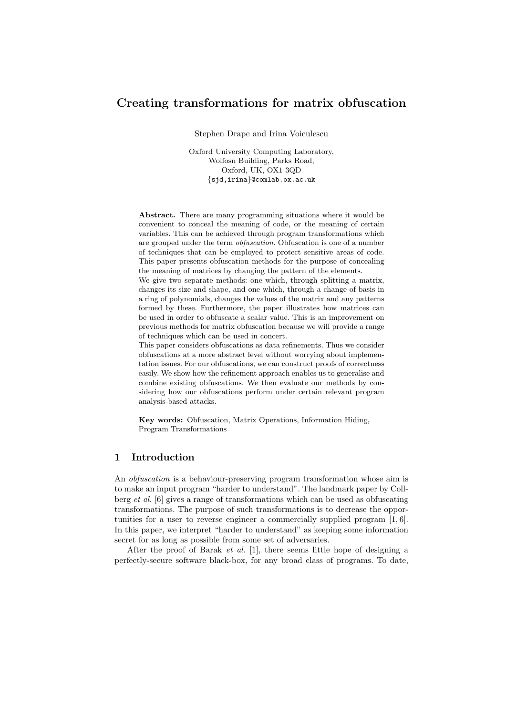# Creating transformations for matrix obfuscation

Stephen Drape and Irina Voiculescu

Oxford University Computing Laboratory, Wolfosn Building, Parks Road, Oxford, UK, OX1 3QD {sjd,irina}@comlab.ox.ac.uk

Abstract. There are many programming situations where it would be convenient to conceal the meaning of code, or the meaning of certain variables. This can be achieved through program transformations which are grouped under the term obfuscation. Obfuscation is one of a number of techniques that can be employed to protect sensitive areas of code. This paper presents obfuscation methods for the purpose of concealing the meaning of matrices by changing the pattern of the elements.

We give two separate methods: one which, through splitting a matrix, changes its size and shape, and one which, through a change of basis in a ring of polynomials, changes the values of the matrix and any patterns formed by these. Furthermore, the paper illustrates how matrices can be used in order to obfuscate a scalar value. This is an improvement on previous methods for matrix obfuscation because we will provide a range of techniques which can be used in concert.

This paper considers obfuscations as data refinements. Thus we consider obfuscations at a more abstract level without worrying about implementation issues. For our obfuscations, we can construct proofs of correctness easily. We show how the refinement approach enables us to generalise and combine existing obfuscations. We then evaluate our methods by considering how our obfuscations perform under certain relevant program analysis-based attacks.

Key words: Obfuscation, Matrix Operations, Information Hiding, Program Transformations

# 1 Introduction

An obfuscation is a behaviour-preserving program transformation whose aim is to make an input program "harder to understand". The landmark paper by Collberg et al. [6] gives a range of transformations which can be used as obfuscating transformations. The purpose of such transformations is to decrease the opportunities for a user to reverse engineer a commercially supplied program [1, 6]. In this paper, we interpret "harder to understand" as keeping some information secret for as long as possible from some set of adversaries.

After the proof of Barak *et al.* [1], there seems little hope of designing a perfectly-secure software black-box, for any broad class of programs. To date,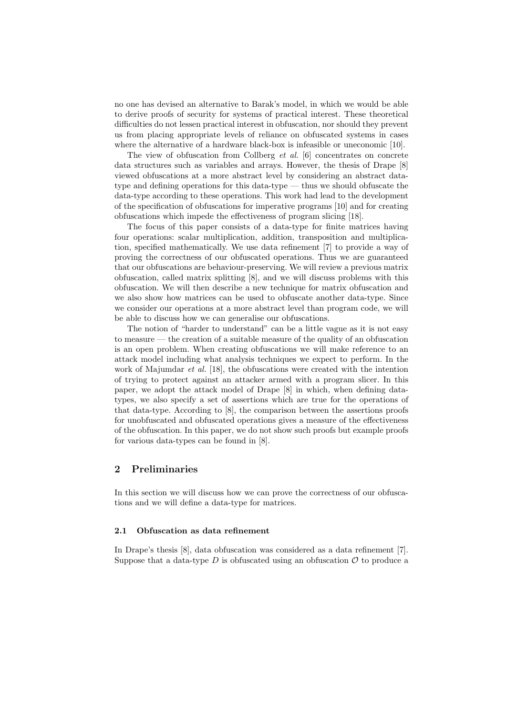no one has devised an alternative to Barak's model, in which we would be able to derive proofs of security for systems of practical interest. These theoretical difficulties do not lessen practical interest in obfuscation, nor should they prevent us from placing appropriate levels of reliance on obfuscated systems in cases where the alternative of a hardware black-box is infeasible or uneconomic [10].

The view of obfuscation from Collberg *et al.* [6] concentrates on concrete data structures such as variables and arrays. However, the thesis of Drape [8] viewed obfuscations at a more abstract level by considering an abstract datatype and defining operations for this data-type — thus we should obfuscate the data-type according to these operations. This work had lead to the development of the specification of obfuscations for imperative programs [10] and for creating obfuscations which impede the effectiveness of program slicing [18].

The focus of this paper consists of a data-type for finite matrices having four operations: scalar multiplication, addition, transposition and multiplication, specified mathematically. We use data refinement [7] to provide a way of proving the correctness of our obfuscated operations. Thus we are guaranteed that our obfuscations are behaviour-preserving. We will review a previous matrix obfuscation, called matrix splitting [8], and we will discuss problems with this obfuscation. We will then describe a new technique for matrix obfuscation and we also show how matrices can be used to obfuscate another data-type. Since we consider our operations at a more abstract level than program code, we will be able to discuss how we can generalise our obfuscations.

The notion of "harder to understand" can be a little vague as it is not easy to measure — the creation of a suitable measure of the quality of an obfuscation is an open problem. When creating obfuscations we will make reference to an attack model including what analysis techniques we expect to perform. In the work of Majumdar *et al.* [18], the obfuscations were created with the intention of trying to protect against an attacker armed with a program slicer. In this paper, we adopt the attack model of Drape [8] in which, when defining datatypes, we also specify a set of assertions which are true for the operations of that data-type. According to [8], the comparison between the assertions proofs for unobfuscated and obfuscated operations gives a measure of the effectiveness of the obfuscation. In this paper, we do not show such proofs but example proofs for various data-types can be found in [8].

# 2 Preliminaries

In this section we will discuss how we can prove the correctness of our obfuscations and we will define a data-type for matrices.

#### 2.1 Obfuscation as data refinement

In Drape's thesis [8], data obfuscation was considered as a data refinement [7]. Suppose that a data-type D is obfuscated using an obfuscation  $\mathcal O$  to produce a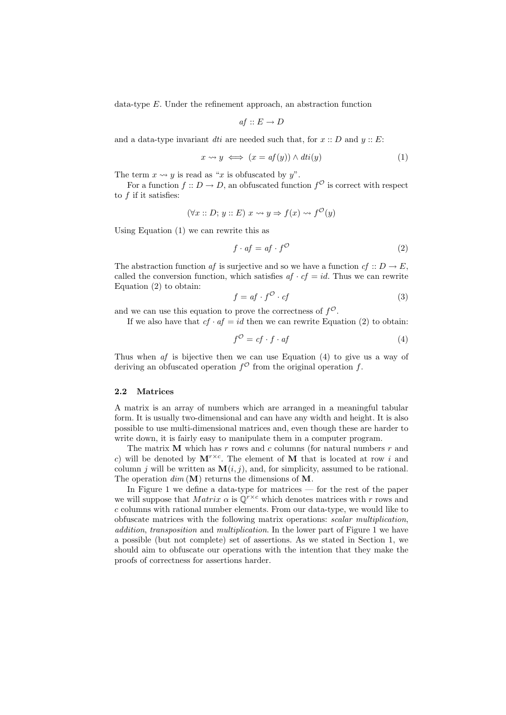data-type E. Under the refinement approach, an abstraction function

$$
\mathit{af} \, :: E \to D
$$

and a data-type invariant *dti* are needed such that, for  $x :: D$  and  $y :: E$ :

$$
x \rightsquigarrow y \iff (x = af(y)) \land dt i(y) \tag{1}
$$

The term  $x \leadsto y$  is read as "x is obfuscated by y".

For a function  $f: D \to D$ , an obfuscated function  $f^{\mathcal{O}}$  is correct with respect to  $f$  if it satisfies:

$$
(\forall x :: D; y :: E) \ x \leadsto y \Rightarrow f(x) \leadsto f^{\mathcal{O}}(y)
$$

Using Equation (1) we can rewrite this as

$$
f \cdot af = af \cdot f^{\mathcal{O}} \tag{2}
$$

The abstraction function af is surjective and so we have a function  $cf: D \to E$ . called the conversion function, which satisfies  $af \cdot cf = id$ . Thus we can rewrite Equation (2) to obtain:

$$
f = af \cdot f^{\mathcal{O}} \cdot cf \tag{3}
$$

and we can use this equation to prove the correctness of  $f^{\mathcal{O}}$ .

If we also have that  $cf \cdot af = id$  then we can rewrite Equation (2) to obtain:

$$
f^{\mathcal{O}} = cf \cdot f \cdot af \tag{4}
$$

Thus when af is bijective then we can use Equation (4) to give us a way of deriving an obfuscated operation  $f^{\mathcal{O}}$  from the original operation f.

### 2.2 Matrices

A matrix is an array of numbers which are arranged in a meaningful tabular form. It is usually two-dimensional and can have any width and height. It is also possible to use multi-dimensional matrices and, even though these are harder to write down, it is fairly easy to manipulate them in a computer program.

The matrix  $M$  which has r rows and c columns (for natural numbers r and c) will be denoted by  $\mathbf{M}^{r \times c}$ . The element of **M** that is located at row i and column j will be written as  $\mathbf{M}(i, j)$ , and, for simplicity, assumed to be rational. The operation  $dim (\mathbf{M})$  returns the dimensions of M.

In Figure 1 we define a data-type for matrices — for the rest of the paper we will suppose that  $Matrix \alpha$  is  $\mathbb{Q}^{r \times c}$  which denotes matrices with r rows and c columns with rational number elements. From our data-type, we would like to obfuscate matrices with the following matrix operations: scalar multiplication, addition, transposition and multiplication. In the lower part of Figure 1 we have a possible (but not complete) set of assertions. As we stated in Section 1, we should aim to obfuscate our operations with the intention that they make the proofs of correctness for assertions harder.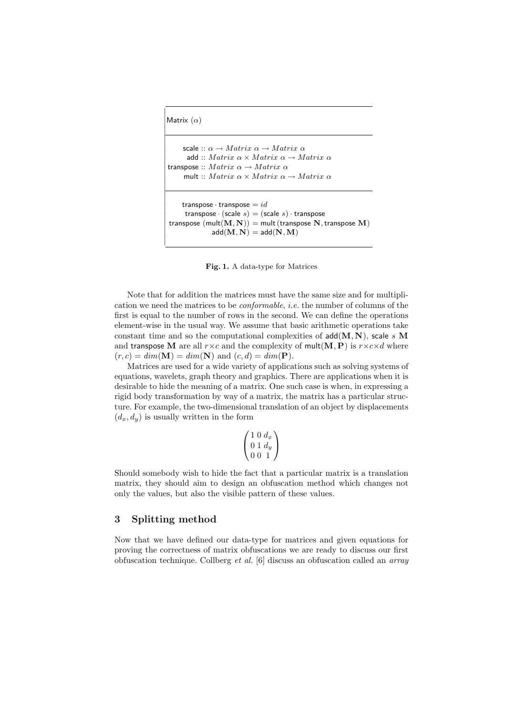$\Big|$ Matrix  $(\alpha)$ 

j.  $\overline{\phantom{a}}$ 

 $\overline{\phantom{a}}$ ŀ

```
Ī
I
I
\overline{\phantom{a}}I
I
\overline{\phantom{a}}I
I
\overline{\phantom{a}}I
ļ
ľ
I
I
\overline{\phantom{a}}I
\overline{\phantom{a}}I
I
\overline{\phantom{a}}I
I
          scale :: \alpha \rightarrow Matrix \alpha \rightarrow Matrix \alphaadd :: Matrix \alpha \times Matrix \alpha \rightarrow Matrix \alphatranspose :: Matrix \alpha \rightarrow Matrix \alphamult :: Matrix \alpha \times Matrix \alpha \rightarrow Matrix \alphatranspose \cdot transpose =idtranspose \cdot (scale s) = (scale s) \cdot transpose
  transpose (\text{mult}(\mathbf{M}, \mathbf{N})) = \text{mult} (transpose \mathbf{N}, transpose \mathbf{M})
                          add(M, N) = add(N, M)
```


Note that for addition the matrices must have the same size and for multiplication we need the matrices to be conformable, i.e. the number of columns of the first is equal to the number of rows in the second. We can define the operations element-wise in the usual way. We assume that basic arithmetic operations take constant time and so the computational complexities of  $add(M, N)$ , scale s M and transpose M are all  $r \times c$  and the complexity of mult $(M, P)$  is  $r \times c \times d$  where  $(r, c) = dim(\mathbf{M}) = dim(\mathbf{N})$  and  $(c, d) = dim(\mathbf{P})$ .

Matrices are used for a wide variety of applications such as solving systems of equations, wavelets, graph theory and graphics. There are applications when it is desirable to hide the meaning of a matrix. One such case is when, in expressing a rigid body transformation by way of a matrix, the matrix has a particular structure. For example, the two-dimensional translation of an object by displacements  $(d_x, d_y)$  is usually written in the form

$$
\begin{pmatrix} 1 & 0 & d_x \\ 0 & 1 & d_y \\ 0 & 0 & 1 \end{pmatrix}
$$

Should somebody wish to hide the fact that a particular matrix is a translation matrix, they should aim to design an obfuscation method which changes not only the values, but also the visible pattern of these values.

# 3 Splitting method

Now that we have defined our data-type for matrices and given equations for proving the correctness of matrix obfuscations we are ready to discuss our first obfuscation technique. Collberg et al. [6] discuss an obfuscation called an  $array$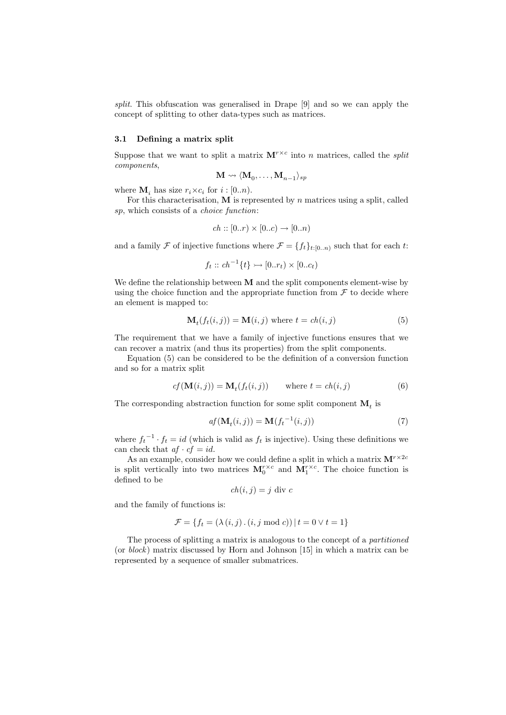split. This obfuscation was generalised in Drape [9] and so we can apply the concept of splitting to other data-types such as matrices.

# 3.1 Defining a matrix split

Suppose that we want to split a matrix  $M^{r \times c}$  into n matrices, called the *split* components,

$$
\mathbf{M} \leadsto \langle \mathbf{M}_0, \ldots, \mathbf{M}_{n-1} \rangle_{sp}
$$

where  $\mathbf{M}_i$  has size  $r_i \times c_i$  for  $i : [0..n)$ .

For this characterisation,  $M$  is represented by n matrices using a split, called sp, which consists of a choice function:

$$
ch::[0..r)\times[0..c)\to[0..n)
$$

and a family  $\mathcal F$  of injective functions where  $\mathcal F = \{f_t\}_{t:[0..n)}$  such that for each t:

$$
f_t :: ch^{-1}{t} \rightarrow [0..r_t) \times [0..c_t)
$$

We define the relationship between  $M$  and the split components element-wise by using the choice function and the appropriate function from  $\mathcal F$  to decide where an element is mapped to:

$$
\mathbf{M}_t(f_t(i,j)) = \mathbf{M}(i,j) \text{ where } t = ch(i,j)
$$
\n(5)

The requirement that we have a family of injective functions ensures that we can recover a matrix (and thus its properties) from the split components.

Equation (5) can be considered to be the definition of a conversion function and so for a matrix split

$$
cf(\mathbf{M}(i,j)) = \mathbf{M}_t(f_t(i,j)) \qquad \text{where } t = ch(i,j)
$$
 (6)

The corresponding abstraction function for some split component  $\mathbf{M}_t$  is

$$
af(\mathbf{M}_t(i,j)) = \mathbf{M}(f_t^{-1}(i,j))
$$
\n(7)

where  $f_t^{-1} \cdot f_t = id$  (which is valid as  $f_t$  is injective). Using these definitions we can check that  $af \cdot cf = id$ .

As an example, consider how we could define a split in which a matrix  $M^{r \times 2c}$ is split vertically into two matrices  $\mathbf{M}^{r \times c}_{0}$  and  $\mathbf{M}^{r \times c}_{1}$ . The choice function is defined to be

$$
ch(i, j) = j \text{ div } c
$$

and the family of functions is:

$$
\mathcal{F} = \{ f_t = (\lambda(i, j) \cdot (i, j \mod c)) \mid t = 0 \lor t = 1 \}
$$

The process of splitting a matrix is analogous to the concept of a partitioned (or block) matrix discussed by Horn and Johnson [15] in which a matrix can be represented by a sequence of smaller submatrices.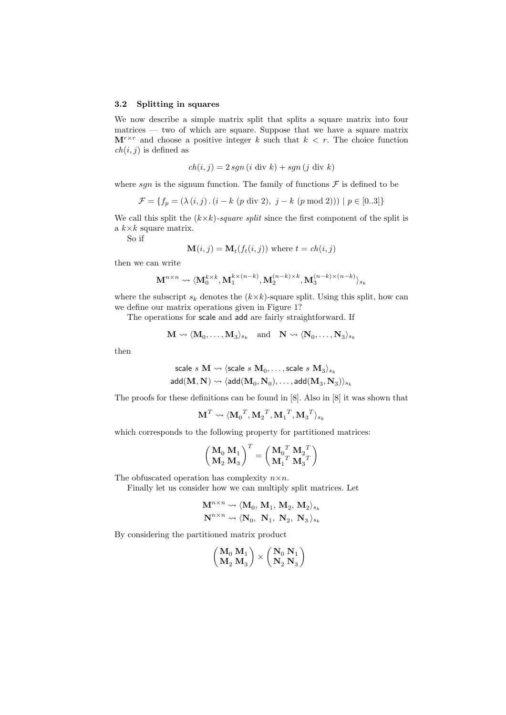### 3.2 Splitting in squares

We now describe a simple matrix split that splits a square matrix into four matrices — two of which are square. Suppose that we have a square matrix  $M^{r \times r}$  and choose a positive integer k such that  $k \leq r$ . The choice function  $ch(i, j)$  is defined as

$$
ch(i, j) = 2 sgn (i \text{ div } k) + sgn (j \text{ div } k)
$$

where sqn is the signum function. The family of functions  $\mathcal F$  is defined to be

$$
\mathcal{F} = \{ f_p = (\lambda(i, j) \cdot (i - k \ (p \ div \ 2), \ j - k \ (p \ mod \ 2))) \mid p \in [0..3] \}
$$

We call this split the  $(k \times k)$ -square split since the first component of the split is a  $k \times k$  square matrix.

So if

$$
\mathbf{M}(i,j) = \mathbf{M}_t(f_t(i,j))
$$
 where  $t = ch(i,j)$ 

then we can write

$$
\mathbf{M}^{n\times n}\leadsto \langle \mathbf{M}_0^{k\times k},\mathbf{M}_1^{k\times (n-k)},\mathbf{M}_2^{(n-k)\times k},\mathbf{M}_3^{(n-k)\times (n-k)}\rangle_{s_k}
$$

where the subscript  $s_k$  denotes the  $(k \times k)$ -square split. Using this split, how can we define our matrix operations given in Figure 1?

The operations for scale and add are fairly straightforward. If

$$
\mathbf{M} \leadsto \langle \mathbf{M}_0, \ldots, \mathbf{M}_3 \rangle_{s_k} \quad \text{and} \quad \mathbf{N} \leadsto \langle \mathbf{N}_0, \ldots, \mathbf{N}_3 \rangle_{s_k}
$$

then

$$
\begin{aligned} &\text{scale } s \textbf{ M } \leadsto \langle \text{scale } s \textbf{ M}_0, \dots, \text{scale } s \textbf{ M}_3 \rangle_{s_k} \\ &\text{add}(\textbf{ M}, \textbf{ N}) \leadsto \langle \text{add}(\textbf{ M}_0, \textbf{ N}_0), \dots, \text{add}(\textbf{ M}_3, \textbf{ N}_3) \rangle_{s_k} \end{aligned}
$$

The proofs for these definitions can be found in [8]. Also in [8] it was shown that

$$
\mathbf{M}^T \leadsto \langle {\mathbf{M}_0}^T, {\mathbf{M}_2}^T, {\mathbf{M}_1}^T, {\mathbf{M}_3}^T \rangle_{s_k}
$$

which corresponds to the following property for partitioned matrices:

$$
\begin{pmatrix}\mathbf{M}_0 & \mathbf{M}_1 \\ \mathbf{M}_2 & \mathbf{M}_3\end{pmatrix}^T = \begin{pmatrix}\mathbf{M}_0^{\ T} & \mathbf{M}_2^{\ T} \\ \mathbf{M}_1^{\ T} & \mathbf{M}_3^{\ T}\end{pmatrix}
$$

The obfuscated operation has complexity  $n \times n$ .

Finally let us consider how we can multiply split matrices. Let

$$
\begin{aligned} &\mathbf{M}^{n\times n} \leadsto \langle \mathbf{M}_0,\, \mathbf{M}_1,\, \mathbf{M}_2,\, \mathbf{M}_2 \rangle_{s_k} \\ &\mathbf{N}^{n\times n} \leadsto \langle \mathbf{N}_0,\ \mathbf{N}_1,\ \mathbf{N}_2,\ \mathbf{N}_3 \rangle_{s_k} \end{aligned}
$$

By considering the partitioned matrix product

$$
\left(\frac{\mathbf{M}_0}{\mathbf{M}_2}\frac{\mathbf{M}_1}{\mathbf{M}_3}\right)\times\left(\frac{\mathbf{N}_0}{\mathbf{N}_2}\frac{\mathbf{N}_1}{\mathbf{N}_3}\right)
$$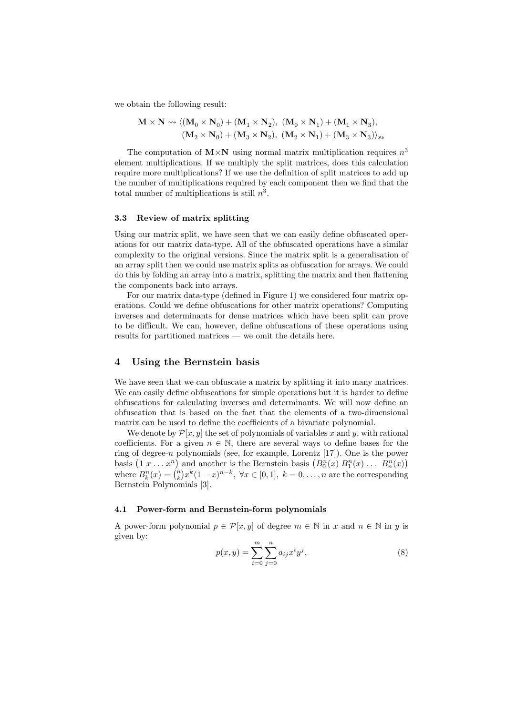we obtain the following result:

$$
\begin{aligned} \mathbf{M}\times\mathbf{N} &\leadsto \langle (\mathbf{M}_0\times\mathbf{N}_0)+(\mathbf{M}_1\times\mathbf{N}_2), \ (\mathbf{M}_0\times\mathbf{N}_1)+(\mathbf{M}_1\times\mathbf{N}_3),\\ (\mathbf{M}_2\times\mathbf{N}_0)+(\mathbf{M}_3\times\mathbf{N}_2), \ (\mathbf{M}_2\times\mathbf{N}_1)+(\mathbf{M}_3\times\mathbf{N}_3)\rangle_{s_k} \end{aligned}
$$

The computation of  $M \times N$  using normal matrix multiplication requires  $n^3$ element multiplications. If we multiply the split matrices, does this calculation require more multiplications? If we use the definition of split matrices to add up the number of multiplications required by each component then we find that the total number of multiplications is still  $n^3$ .

#### 3.3 Review of matrix splitting

Using our matrix split, we have seen that we can easily define obfuscated operations for our matrix data-type. All of the obfuscated operations have a similar complexity to the original versions. Since the matrix split is a generalisation of an array split then we could use matrix splits as obfuscation for arrays. We could do this by folding an array into a matrix, splitting the matrix and then flattening the components back into arrays.

For our matrix data-type (defined in Figure 1) we considered four matrix operations. Could we define obfuscations for other matrix operations? Computing inverses and determinants for dense matrices which have been split can prove to be difficult. We can, however, define obfuscations of these operations using results for partitioned matrices — we omit the details here.

## 4 Using the Bernstein basis

We have seen that we can obfuscate a matrix by splitting it into many matrices. We can easily define obfuscations for simple operations but it is harder to define obfuscations for calculating inverses and determinants. We will now define an obfuscation that is based on the fact that the elements of a two-dimensional matrix can be used to define the coefficients of a bivariate polynomial.

We denote by  $\mathcal{P}[x, y]$  the set of polynomials of variables x and y, with rational coefficients. For a given  $n \in \mathbb{N}$ , there are several ways to define bases for the ring of degree-n polynomials (see, for example, Lorentz [17]). One is the power basis  $(1 x \dots x^n)$  and another is the Bernstein basis  $(B_0^n(x) B_1^n(x) \dots B_n^n(x))$ where  $B_k^n(x) = {n \choose k} x^k (1-x)^{n-k}, \forall x \in [0,1], k = 0, \ldots, n$  are the corresponding Bernstein Polynomials [3].

## 4.1 Power-form and Bernstein-form polynomials

A power-form polynomial  $p \in \mathcal{P}[x, y]$  of degree  $m \in \mathbb{N}$  in x and  $n \in \mathbb{N}$  in y is given by:

$$
p(x,y) = \sum_{i=0}^{m} \sum_{j=0}^{n} a_{ij} x^{i} y^{j},
$$
\n(8)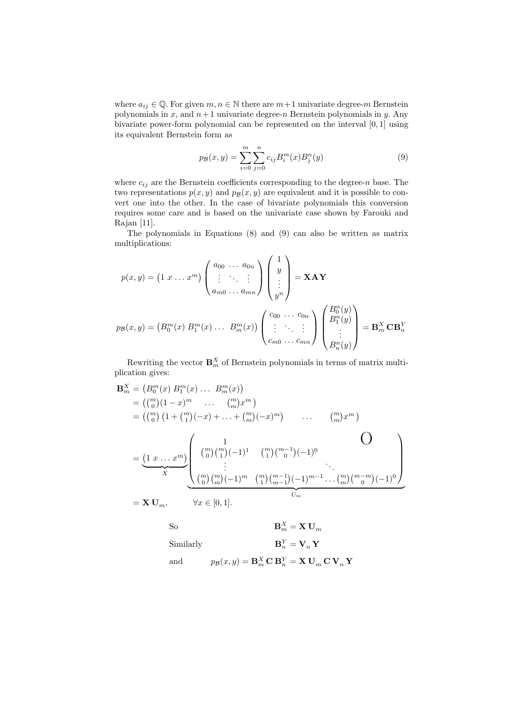where  $a_{ij} \in \mathbb{Q}$ . For given  $m, n \in \mathbb{N}$  there are  $m+1$  univariate degree-m Bernstein polynomials in x, and  $n+1$  univariate degree-n Bernstein polynomials in y. Any bivariate power-form polynomial can be represented on the interval [0, 1] using its equivalent Bernstein form as

$$
p_{\mathcal{B}}(x,y) = \sum_{i=0}^{m} \sum_{j=0}^{n} c_{ij} B_i^m(x) B_j^n(y)
$$
 (9)

where  $c_{ij}$  are the Bernstein coefficients corresponding to the degree-n base. The two representations  $p(x, y)$  and  $p_B(x, y)$  are equivalent and it is possible to convert one into the other. In the case of bivariate polynomials this conversion requires some care and is based on the univariate case shown by Farouki and Rajan [11].

The polynomials in Equations (8) and (9) can also be written as matrix multiplications:

$$
p(x,y) = (1 \ x \dots x^m) \begin{pmatrix} a_{00} \dots a_{0n} \\ \vdots & \ddots & \vdots \\ a_{m0} \dots a_{mn} \end{pmatrix} \begin{pmatrix} 1 \\ y \\ \vdots \\ y^n \end{pmatrix} = \mathbf{XAY}
$$

$$
p_B(x,y) = (B_0^m(x) \ B_1^m(x) \dots \ B_m^m(x)) \begin{pmatrix} c_{00} \dots c_{0n} \\ \vdots & \ddots & \vdots \\ c_{m0} \dots c_{mn} \end{pmatrix} \begin{pmatrix} B_0^n(y) \\ B_1^n(y) \\ \vdots \\ B_n^n(y) \end{pmatrix} = \mathbf{B}_m^X \mathbf{CB}_n^Y
$$

Rewriting the vector  $\mathbf{B}_m^X$  of Bernstein polynomials in terms of matrix multiplication gives:

$$
\mathbf{B}_{m}^{X} = (B_{0}^{m}(x) B_{1}^{m}(x) \dots B_{m}^{m}(x))
$$
\n
$$
= ((_{0}^{m})(1-x)^{m} \dots (_{m}^{m})x^{m})
$$
\n
$$
= ((_{0}^{m})(1+ {m \choose 1}(-x)+...+{m \choose m}(-x)^{m}) \dots {m \choose m}x^{m})
$$
\n
$$
= \underbrace{(1 x ... x^{m})}_{X} \left( {m \choose 0}{m \choose 1}(-1)^{1} {m \choose 1}{m-1 \choose 0}(-1)^{0} \dots \right)
$$
\n
$$
\vdots \dots \dots
$$
\n
$$
= \mathbf{X} \mathbf{U}_{m}, \qquad \forall x \in [0,1].
$$
\nSo\n
$$
\mathbf{B}_{m}^{X} = \mathbf{X} \mathbf{U}_{m}
$$
\nSimilarly\n
$$
\mathbf{B}_{n}^{X} = \mathbf{Y}_{m} \mathbf{Y}
$$

and  $p_{\mathcal{B}}(x, y) = \mathbf{B}_m^X \mathbf{C} \mathbf{B}_n^Y = \mathbf{X} \mathbf{U}_m \mathbf{C} \mathbf{V}_n \mathbf{Y}$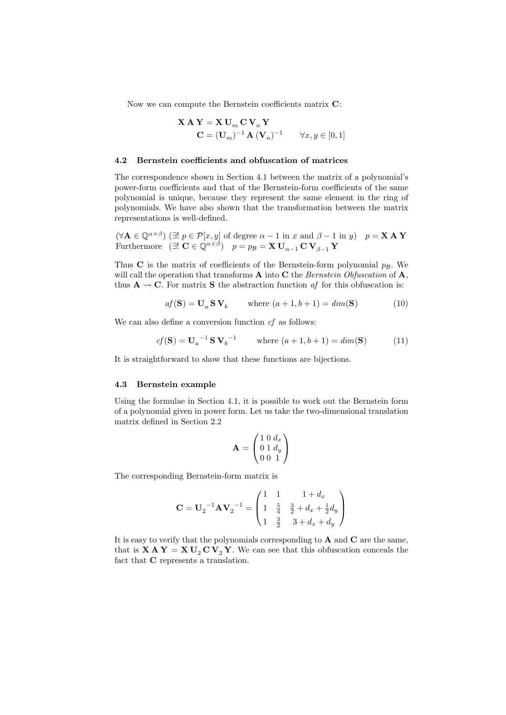Now we can compute the Bernstein coefficients matrix C:

$$
\begin{aligned} \mathbf{X} \mathbf{A} \mathbf{Y} &= \mathbf{X} \mathbf{U}_m \mathbf{C} \mathbf{V}_n \mathbf{Y} \\ \mathbf{C} &= (\mathbf{U}_m)^{-1} \mathbf{A} \left( \mathbf{V}_n \right)^{-1} \qquad \forall x, y \in [0, 1] \end{aligned}
$$

## 4.2 Bernstein coefficients and obfuscation of matrices

The correspondence shown in Section 4.1 between the matrix of a polynomial's power-form coefficients and that of the Bernstein-form coefficients of the same polynomial is unique, because they represent the same element in the ring of polynomials. We have also shown that the transformation between the matrix representations is well-defined.

 $(\forall \mathbf{A} \in \mathbb{Q}^{\alpha \times \beta})$  ( $\exists ! \ p \in \mathcal{P}[x, y]$  of degree  $\alpha - 1$  in x and  $\beta - 1$  in y)  $p = \mathbf{X} \mathbf{A} \mathbf{Y}$ Furthermore  $(\exists ! \; \mathbf{C} \in \mathbb{Q}^{\alpha \times \beta}) \quad p = p_{\mathcal{B}} = \mathbf{X} \; \mathbf{U}_{\alpha - 1} \, \mathbf{C} \, \mathbf{V}_{\beta - 1} \, \mathbf{Y}$ 

Thus C is the matrix of coefficients of the Bernstein-form polynomial  $p_B$ . We will call the operation that transforms  $A$  into  $C$  the *Bernstein Obfuscation* of  $A$ , thus  $\mathbf{A} \rightsquigarrow \mathbf{C}$ . For matrix **S** the abstraction function af for this obfuscation is:

$$
af(\mathbf{S}) = \mathbf{U}_a \mathbf{S} \mathbf{V}_b \qquad \text{where } (a+1, b+1) = dim(\mathbf{S}) \tag{10}
$$

We can also define a conversion function  $cf$  as follows:

$$
cf(S) = U_a^{-1} S V_b^{-1} \qquad \text{where } (a+1, b+1) = dim(S) \tag{11}
$$

It is straightforward to show that these functions are bijections.

# 4.3 Bernstein example

Using the formulae in Section 4.1, it is possible to work out the Bernstein form of a polynomial given in power form. Let us take the two-dimensional translation matrix defined in Section 2.2

$$
\mathbf{A} = \begin{pmatrix} 1 & 0 & d_x \\ 0 & 1 & d_y \\ 0 & 0 & 1 \end{pmatrix}
$$

The corresponding Bernstein-form matrix is

$$
\mathbf{C} = \mathbf{U}_2^{-1} \mathbf{A} \mathbf{V}_2^{-1} = \begin{pmatrix} 1 & 1 & 1 + d_x \\ 1 & \frac{5}{4} & \frac{3}{2} + d_x + \frac{1}{2}d_y \\ 1 & \frac{3}{2} & 3 + d_x + d_y \end{pmatrix}
$$

It is easy to verify that the polynomials corresponding to  $A$  and  $C$  are the same, that is  $X A Y = X U_2 C V_2 Y$ . We can see that this obfuscation conceals the fact that **C** represents a translation.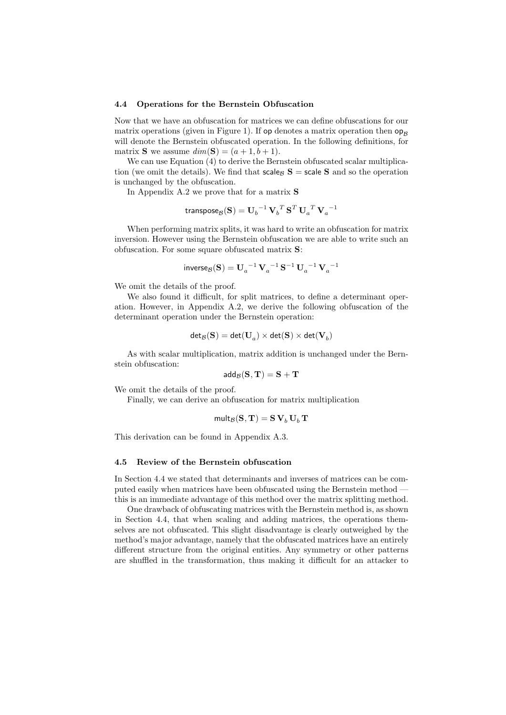#### 4.4 Operations for the Bernstein Obfuscation

Now that we have an obfuscation for matrices we can define obfuscations for our matrix operations (given in Figure 1). If  $op$  denotes a matrix operation then  $op_R$ will denote the Bernstein obfuscated operation. In the following definitions, for matrix **S** we assume  $dim(\mathbf{S}) = (a+1, b+1)$ .

We can use Equation  $(4)$  to derive the Bernstein obfuscated scalar multiplication (we omit the details). We find that  $\text{scale}_{\mathcal{B}} S = \text{scale } S$  and so the operation is unchanged by the obfuscation.

In Appendix A.2 we prove that for a matrix S

$$
\text{transpose}_\mathcal{B}(\mathbf{S}) = \mathbf{U}_b^{\phantom{b}-1}\, \mathbf{V}_b^{\phantom{b}T}\, \mathbf{S}^T\, \mathbf{U}_a^{\phantom{a}T}\, \mathbf{V}_a^{\phantom{a}-1}
$$

When performing matrix splits, it was hard to write an obfuscation for matrix inversion. However using the Bernstein obfuscation we are able to write such an obfuscation. For some square obfuscated matrix S:

$$
\text{inverse}_{\mathcal{B}}(\mathbf{S}) = {\mathbf{U}_a}^{-1}\, {\mathbf{V}_a}^{-1}\, {\mathbf{S}^{-1}}\, {\mathbf{U}_a}^{-1}\, {\mathbf{V}_a}^{-1}
$$

We omit the details of the proof.

We also found it difficult, for split matrices, to define a determinant operation. However, in Appendix A.2, we derive the following obfuscation of the determinant operation under the Bernstein operation:

$$
\mathsf{det}_{\mathcal{B}}(\mathbf{S}) = \mathsf{det}(\mathbf{U}_a) \times \mathsf{det}(\mathbf{S}) \times \mathsf{det}(\mathbf{V}_b)
$$

As with scalar multiplication, matrix addition is unchanged under the Bernstein obfuscation:

$$
\mathsf{add}_{\mathcal{B}}(\mathbf{S},\mathbf{T})=\mathbf{S}+\mathbf{T}
$$

We omit the details of the proof.

Finally, we can derive an obfuscation for matrix multiplication

$$
\mathsf{mult}_{\mathcal{B}}(\mathbf{S},\mathbf{T})=\mathbf{S}\,\mathbf{V}_b\,\mathbf{U}_b\,\mathbf{T}
$$

This derivation can be found in Appendix A.3.

## 4.5 Review of the Bernstein obfuscation

In Section 4.4 we stated that determinants and inverses of matrices can be computed easily when matrices have been obfuscated using the Bernstein method this is an immediate advantage of this method over the matrix splitting method.

One drawback of obfuscating matrices with the Bernstein method is, as shown in Section 4.4, that when scaling and adding matrices, the operations themselves are not obfuscated. This slight disadvantage is clearly outweighed by the method's major advantage, namely that the obfuscated matrices have an entirely different structure from the original entities. Any symmetry or other patterns are shuffled in the transformation, thus making it difficult for an attacker to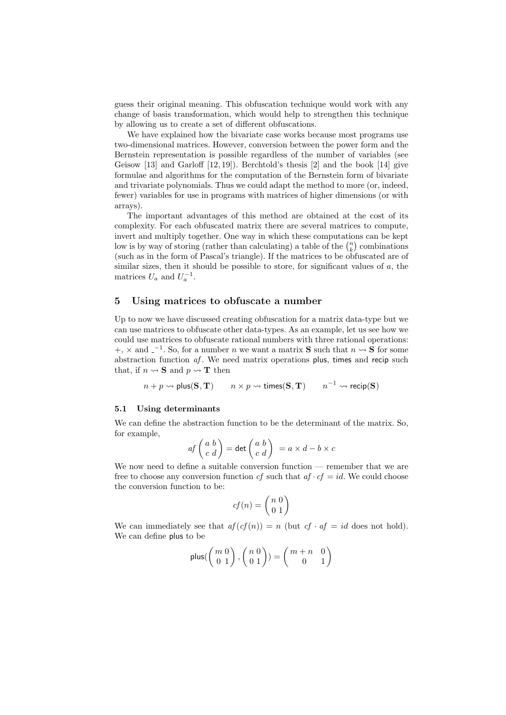guess their original meaning. This obfuscation technique would work with any change of basis transformation, which would help to strengthen this technique by allowing us to create a set of different obfuscations.

We have explained how the bivariate case works because most programs use two-dimensional matrices. However, conversion between the power form and the Bernstein representation is possible regardless of the number of variables (see Geisow [13] and Garloff [12, 19]). Berchtold's thesis [2] and the book [14] give formulae and algorithms for the computation of the Bernstein form of bivariate and trivariate polynomials. Thus we could adapt the method to more (or, indeed, fewer) variables for use in programs with matrices of higher dimensions (or with arrays).

The important advantages of this method are obtained at the cost of its complexity. For each obfuscated matrix there are several matrices to compute, invert and multiply together. One way in which these computations can be kept low is by way of storing (rather than calculating) a table of the  $\binom{n}{k}$  combinations (such as in the form of Pascal's triangle). If the matrices to be obfuscated are of similar sizes, then it should be possible to store, for significant values of  $a$ , the matrices  $U_a$  and  $U_a^{-1}$ .

# 5 Using matrices to obfuscate a number

Up to now we have discussed creating obfuscation for a matrix data-type but we can use matrices to obfuscate other data-types. As an example, let us see how we could use matrices to obfuscate rational numbers with three rational operations:  $+$ ,  $\times$  and  $-$ <sup>1</sup>. So, for a number *n* we want a matrix **S** such that  $n \rightarrow \overline{S}$  for some abstraction function  $af$ . We need matrix operations plus, times and recip such that, if  $n \rightarrow S$  and  $p \rightarrow T$  then

 $n+p \rightsquigarrow \mathsf{plus}(\mathbf{S},\mathbf{T}) \qquad n\times p \rightsquigarrow \mathsf{times}(\mathbf{S},\mathbf{T}) \qquad n^{-1} \rightsquigarrow \mathsf{recip}(\mathbf{S})$ 

# 5.1 Using determinants

We can define the abstraction function to be the determinant of the matrix. So, for example,

$$
af\left(\begin{array}{c} a & b \\ c & d \end{array}\right) = \det\left(\begin{array}{c} a & b \\ c & d \end{array}\right) = a \times d - b \times c
$$

We now need to define a suitable conversion function — remember that we are free to choose any conversion function cf such that  $af \cdot cf = id$ . We could choose the conversion function to be:

$$
cf(n) = \binom{n \ 0}{0 \ 1}
$$

We can immediately see that  $af(cf(n)) = n$  (but  $cf \cdot af = id$  does not hold). We can define plus to be

$$
\text{plus}(\binom{m\ 0}{0\ 1},\binom{n\ 0}{0\ 1}) = \binom{m+n\ 0}{0\ 1}
$$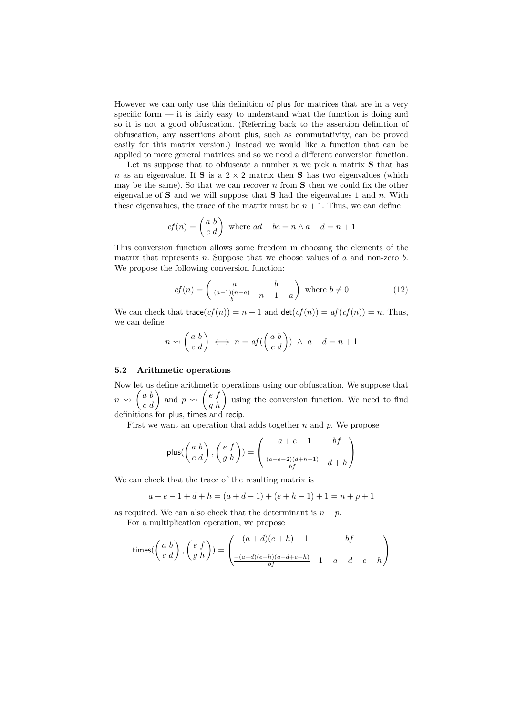However we can only use this definition of plus for matrices that are in a very specific form  $-$  it is fairly easy to understand what the function is doing and so it is not a good obfuscation. (Referring back to the assertion definition of obfuscation, any assertions about plus, such as commutativity, can be proved easily for this matrix version.) Instead we would like a function that can be applied to more general matrices and so we need a different conversion function.

Let us suppose that to obfuscate a number  $n$  we pick a matrix  $S$  that has n as an eigenvalue. If S is a  $2 \times 2$  matrix then S has two eigenvalues (which may be the same). So that we can recover n from  $S$  then we could fix the other eigenvalue of  $S$  and we will suppose that  $S$  had the eigenvalues 1 and n. With these eigenvalues, the trace of the matrix must be  $n + 1$ . Thus, we can define

$$
cf(n) = \begin{pmatrix} a & b \\ c & d \end{pmatrix}
$$
 where  $ad - bc = n \wedge a + d = n + 1$ 

This conversion function allows some freedom in choosing the elements of the matrix that represents  $n$ . Suppose that we choose values of  $a$  and non-zero  $b$ . We propose the following conversion function:

$$
cf(n) = \begin{pmatrix} a & b \\ \frac{(a-1)(n-a)}{b} & n+1-a \end{pmatrix} \text{ where } b \neq 0
$$
 (12)

We can check that trace( $cf(n)$ ) =  $n + 1$  and  $\det(cf(n)) = af(cf(n)) = n$ . Thus, we can define

$$
n \rightsquigarrow \begin{pmatrix} a & b \\ c & d \end{pmatrix} \iff n = af(\begin{pmatrix} a & b \\ c & d \end{pmatrix}) \land a + d = n + 1
$$

### 5.2 Arithmetic operations

Now let us define arithmetic operations using our obfuscation. We suppose that  $n \rightsquigarrow \begin{pmatrix} a & b \\ c & d \end{pmatrix}$  and  $p \rightsquigarrow \begin{pmatrix} e & f \\ g & h \end{pmatrix}$  using the conversion function. We need to find definitions for plus, times and recip.

First we want an operation that adds together  $n$  and  $p$ . We propose

plus(
$$
\begin{pmatrix} a & b \\ c & d \end{pmatrix}
$$
,  $\begin{pmatrix} e & f \\ g & h \end{pmatrix}$ ) =  $\begin{pmatrix} a+e-1 & bf \\ \frac{(a+e-2)(d+h-1)}{bf} & d+h \end{pmatrix}$ 

We can check that the trace of the resulting matrix is

$$
a + e - 1 + d + h = (a + d - 1) + (e + h - 1) + 1 = n + p + 1
$$

as required. We can also check that the determinant is  $n + p$ .

For a multiplication operation, we propose

$$
\text{times}(\begin{pmatrix} a & b \\ c & d \end{pmatrix}, \begin{pmatrix} e & f \\ g & h \end{pmatrix}) = \begin{pmatrix} (a+d)(e+h) + 1 & bf \\ \frac{-(a+d)(e+h)(a+d+e+h)}{bf} & 1 - a - d - e - h \end{pmatrix}
$$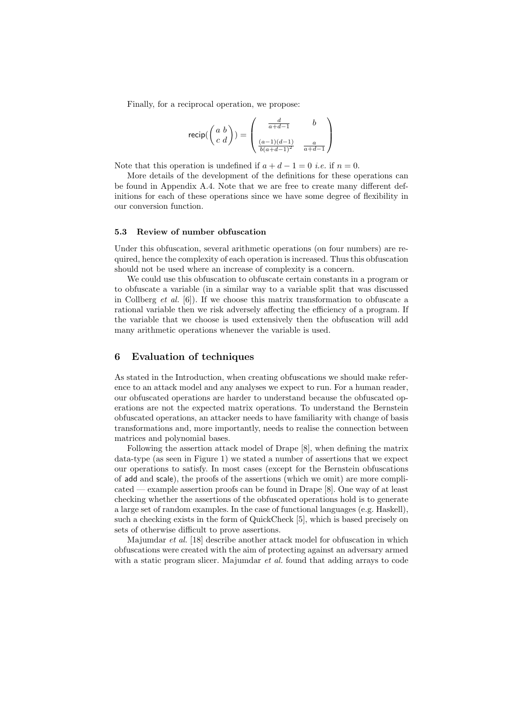Finally, for a reciprocal operation, we propose:

$$
\operatorname{recip}(\left(\begin{array}{c} a & b \\ c & d \end{array}\right)) = \left(\begin{array}{cc} \frac{d}{a+d-1} & b \\ \frac{(a-1)(d-1)}{b(a+d-1)^2} & \frac{a}{a+d-1} \end{array}\right)
$$

Note that this operation is undefined if  $a + d - 1 = 0$  *i.e.* if  $n = 0$ .

More details of the development of the definitions for these operations can be found in Appendix A.4. Note that we are free to create many different definitions for each of these operations since we have some degree of flexibility in our conversion function.

### 5.3 Review of number obfuscation

Under this obfuscation, several arithmetic operations (on four numbers) are required, hence the complexity of each operation is increased. Thus this obfuscation should not be used where an increase of complexity is a concern.

We could use this obfuscation to obfuscate certain constants in a program or to obfuscate a variable (in a similar way to a variable split that was discussed in Collberg *et al.* [6]). If we choose this matrix transformation to obfuscate a rational variable then we risk adversely affecting the efficiency of a program. If the variable that we choose is used extensively then the obfuscation will add many arithmetic operations whenever the variable is used.

## 6 Evaluation of techniques

As stated in the Introduction, when creating obfuscations we should make reference to an attack model and any analyses we expect to run. For a human reader, our obfuscated operations are harder to understand because the obfuscated operations are not the expected matrix operations. To understand the Bernstein obfuscated operations, an attacker needs to have familiarity with change of basis transformations and, more importantly, needs to realise the connection between matrices and polynomial bases.

Following the assertion attack model of Drape [8], when defining the matrix data-type (as seen in Figure 1) we stated a number of assertions that we expect our operations to satisfy. In most cases (except for the Bernstein obfuscations of add and scale), the proofs of the assertions (which we omit) are more complicated — example assertion proofs can be found in Drape [8]. One way of at least checking whether the assertions of the obfuscated operations hold is to generate a large set of random examples. In the case of functional languages (e.g. Haskell), such a checking exists in the form of QuickCheck [5], which is based precisely on sets of otherwise difficult to prove assertions.

Majumdar et al. [18] describe another attack model for obfuscation in which obfuscations were created with the aim of protecting against an adversary armed with a static program slicer. Majumdar *et al.* found that adding arrays to code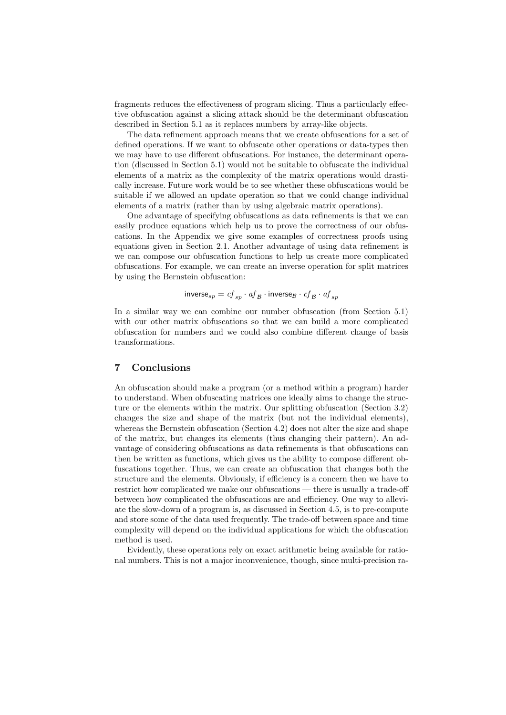fragments reduces the effectiveness of program slicing. Thus a particularly effective obfuscation against a slicing attack should be the determinant obfuscation described in Section 5.1 as it replaces numbers by array-like objects.

The data refinement approach means that we create obfuscations for a set of defined operations. If we want to obfuscate other operations or data-types then we may have to use different obfuscations. For instance, the determinant operation (discussed in Section 5.1) would not be suitable to obfuscate the individual elements of a matrix as the complexity of the matrix operations would drastically increase. Future work would be to see whether these obfuscations would be suitable if we allowed an update operation so that we could change individual elements of a matrix (rather than by using algebraic matrix operations).

One advantage of specifying obfuscations as data refinements is that we can easily produce equations which help us to prove the correctness of our obfuscations. In the Appendix we give some examples of correctness proofs using equations given in Section 2.1. Another advantage of using data refinement is we can compose our obfuscation functions to help us create more complicated obfuscations. For example, we can create an inverse operation for split matrices by using the Bernstein obfuscation:

$$
\mathsf{inverse}_{sp} = \mathit{cf}_{sp} \cdot \mathit{af}_{\mathcal{B}} \cdot \mathsf{inverse}_{\mathcal{B}} \cdot \mathit{cf}_{\mathcal{B}} \cdot \mathit{af}_{sp}
$$

In a similar way we can combine our number obfuscation (from Section 5.1) with our other matrix obfuscations so that we can build a more complicated obfuscation for numbers and we could also combine different change of basis transformations.

# 7 Conclusions

An obfuscation should make a program (or a method within a program) harder to understand. When obfuscating matrices one ideally aims to change the structure or the elements within the matrix. Our splitting obfuscation (Section 3.2) changes the size and shape of the matrix (but not the individual elements), whereas the Bernstein obfuscation (Section 4.2) does not alter the size and shape of the matrix, but changes its elements (thus changing their pattern). An advantage of considering obfuscations as data refinements is that obfuscations can then be written as functions, which gives us the ability to compose different obfuscations together. Thus, we can create an obfuscation that changes both the structure and the elements. Obviously, if efficiency is a concern then we have to restrict how complicated we make our obfuscations — there is usually a trade-off between how complicated the obfuscations are and efficiency. One way to alleviate the slow-down of a program is, as discussed in Section 4.5, is to pre-compute and store some of the data used frequently. The trade-off between space and time complexity will depend on the individual applications for which the obfuscation method is used.

Evidently, these operations rely on exact arithmetic being available for rational numbers. This is not a major inconvenience, though, since multi-precision ra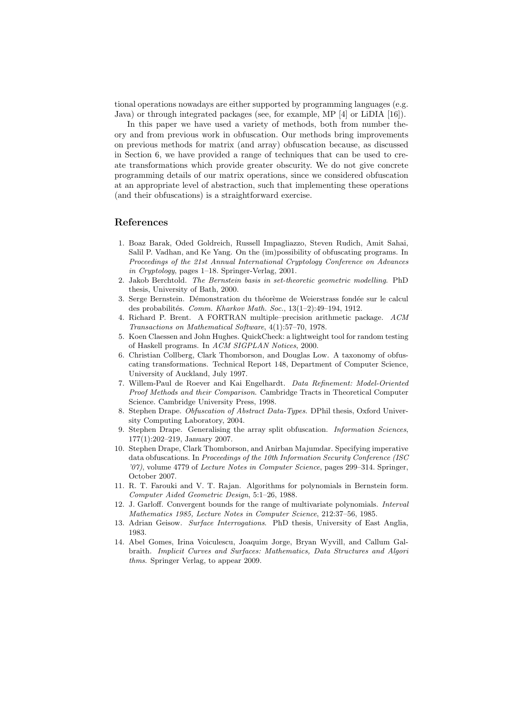tional operations nowadays are either supported by programming languages (e.g. Java) or through integrated packages (see, for example, MP [4] or LiDIA [16]).

In this paper we have used a variety of methods, both from number theory and from previous work in obfuscation. Our methods bring improvements on previous methods for matrix (and array) obfuscation because, as discussed in Section 6, we have provided a range of techniques that can be used to create transformations which provide greater obscurity. We do not give concrete programming details of our matrix operations, since we considered obfuscation at an appropriate level of abstraction, such that implementing these operations (and their obfuscations) is a straightforward exercise.

# References

- 1. Boaz Barak, Oded Goldreich, Russell Impagliazzo, Steven Rudich, Amit Sahai, Salil P. Vadhan, and Ke Yang. On the (im)possibility of obfuscating programs. In Proceedings of the 21st Annual International Cryptology Conference on Advances in Cryptology, pages 1–18. Springer-Verlag, 2001.
- 2. Jakob Berchtold. The Bernstein basis in set-theoretic geometric modelling. PhD thesis, University of Bath, 2000.
- 3. Serge Bernstein. Démonstration du théorème de Weierstrass fondée sur le calcul des probabilités. Comm. Kharkov Math. Soc.,  $13(1-2):49-194$ , 1912.
- 4. Richard P. Brent. A FORTRAN multiple–precision arithmetic package. ACM Transactions on Mathematical Software, 4(1):57–70, 1978.
- 5. Koen Claessen and John Hughes. QuickCheck: a lightweight tool for random testing of Haskell programs. In ACM SIGPLAN Notices, 2000.
- 6. Christian Collberg, Clark Thomborson, and Douglas Low. A taxonomy of obfuscating transformations. Technical Report 148, Department of Computer Science, University of Auckland, July 1997.
- 7. Willem-Paul de Roever and Kai Engelhardt. Data Refinement: Model-Oriented Proof Methods and their Comparison. Cambridge Tracts in Theoretical Computer Science. Cambridge University Press, 1998.
- 8. Stephen Drape. Obfuscation of Abstract Data-Types. DPhil thesis, Oxford University Computing Laboratory, 2004.
- 9. Stephen Drape. Generalising the array split obfuscation. Information Sciences, 177(1):202–219, January 2007.
- 10. Stephen Drape, Clark Thomborson, and Anirban Majumdar. Specifying imperative data obfuscations. In Proceedings of the 10th Information Security Conference (ISC '07), volume 4779 of Lecture Notes in Computer Science, pages 299–314. Springer, October 2007.
- 11. R. T. Farouki and V. T. Rajan. Algorithms for polynomials in Bernstein form. Computer Aided Geometric Design, 5:1–26, 1988.
- 12. J. Garloff. Convergent bounds for the range of multivariate polynomials. Interval Mathematics 1985, Lecture Notes in Computer Science, 212:37–56, 1985.
- 13. Adrian Geisow. Surface Interrogations. PhD thesis, University of East Anglia, 1983.
- 14. Abel Gomes, Irina Voiculescu, Joaquim Jorge, Bryan Wyvill, and Callum Galbraith. Implicit Curves and Surfaces: Mathematics, Data Structures and Algori thms. Springer Verlag, to appear 2009.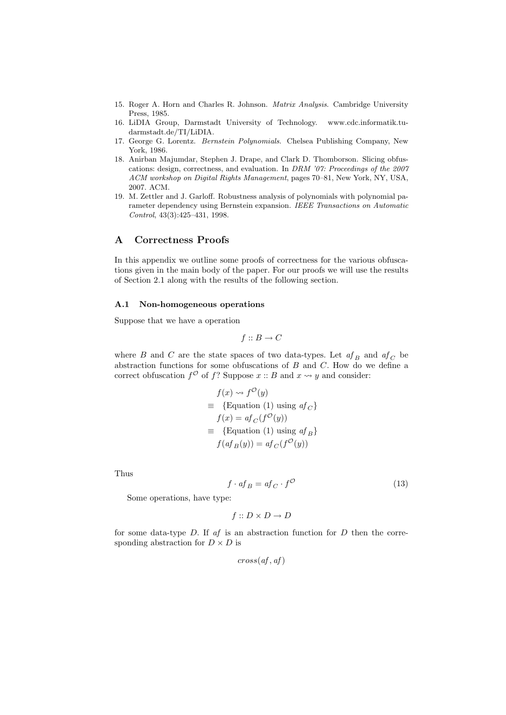- 15. Roger A. Horn and Charles R. Johnson. Matrix Analysis. Cambridge University Press, 1985.
- 16. LiDIA Group, Darmstadt University of Technology. www.cdc.informatik.tudarmstadt.de/TI/LiDIA.
- 17. George G. Lorentz. Bernstein Polynomials. Chelsea Publishing Company, New York, 1986.
- 18. Anirban Majumdar, Stephen J. Drape, and Clark D. Thomborson. Slicing obfuscations: design, correctness, and evaluation. In DRM '07: Proceedings of the 2007 ACM workshop on Digital Rights Management, pages 70–81, New York, NY, USA, 2007. ACM.
- 19. M. Zettler and J. Garloff. Robustness analysis of polynomials with polynomial parameter dependency using Bernstein expansion. IEEE Transactions on Automatic Control, 43(3):425–431, 1998.

## A Correctness Proofs

In this appendix we outline some proofs of correctness for the various obfuscations given in the main body of the paper. For our proofs we will use the results of Section 2.1 along with the results of the following section.

### A.1 Non-homogeneous operations

Suppose that we have a operation

$$
f :: B \to C
$$

where  $B$  and  $C$  are the state spaces of two data-types. Let  $af_B$  and  $af_C$  be abstraction functions for some obfuscations of  $B$  and  $C$ . How do we define a correct obfuscation  $f^{\mathcal{O}}$  of f? Suppose  $x :: B$  and  $x \leadsto y$  and consider:

$$
f(x) \rightsquigarrow f^{\circ}(y)
$$
  
\n
$$
\equiv \{\text{Equation (1) using } af_C\}
$$
  
\n
$$
f(x) = af_C(f^{\circ}(y))
$$
  
\n
$$
\equiv \{\text{Equation (1) using } af_B\}
$$
  
\n
$$
f(af_B(y)) = af_C(f^{\circ}(y))
$$

Thus

$$
f \cdot af_B = af_C \cdot f^{\mathcal{O}}
$$
\n(13)

Some operations, have type:

 $f :: D \times D \rightarrow D$ 

for some data-type  $D$ . If  $af$  is an abstraction function for  $D$  then the corresponding abstraction for  $D \times D$  is

$$
cross(af, af)
$$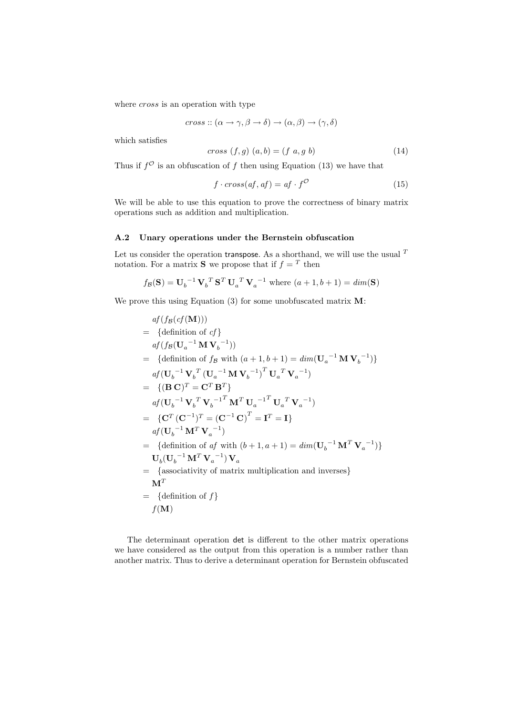where *cross* is an operation with type

$$
cross :: (\alpha \to \gamma, \beta \to \delta) \to (\alpha, \beta) \to (\gamma, \delta)
$$

which satisfies

$$
cross (f, g) (a, b) = (f a, g b)
$$
\n
$$
(14)
$$

Thus if  $f^{\mathcal{O}}$  is an obfuscation of f then using Equation (13) we have that

$$
f \cdot cross(af, af) = af \cdot f^{\circ} \tag{15}
$$

We will be able to use this equation to prove the correctness of binary matrix operations such as addition and multiplication.

# A.2 Unary operations under the Bernstein obfuscation

Let us consider the operation transpose. As a shorthand, we will use the usual  $^{\scriptsize T}$ notation. For a matrix **S** we propose that if  $f = T$  then

$$
f_{\mathcal{B}}(\mathbf{S}) = \mathbf{U}_b^{-1} \mathbf{V}_b^T \mathbf{S}^T \mathbf{U}_a^T \mathbf{V}_a^{-1}
$$
 where  $(a + 1, b + 1) = dim(\mathbf{S})$ 

We prove this using Equation (3) for some unobfuscated matrix  $M$ :

$$
af(f_B(cf(\mathbf{M})))
$$
\n
$$
= \{definition of cf\}
$$
\n
$$
af(f_B(\mathbf{U}_a^{-1}\mathbf{M}\mathbf{V}_b^{-1}))
$$
\n
$$
= \{definition of fg \text{ with } (a+1,b+1) = dim(\mathbf{U}_a^{-1}\mathbf{M}\mathbf{V}_b^{-1})\}
$$
\n
$$
af(\mathbf{U}_b^{-1}\mathbf{V}_b^T(\mathbf{U}_a^{-1}\mathbf{M}\mathbf{V}_b^{-1})^T\mathbf{U}_a^T\mathbf{V}_a^{-1})
$$
\n
$$
= \{(\mathbf{B}\mathbf{C})^T = \mathbf{C}^T\mathbf{B}^T\}
$$
\n
$$
af(\mathbf{U}_b^{-1}\mathbf{V}_b^T\mathbf{V}_b^{-1^T}\mathbf{M}^T\mathbf{U}_a^{-1^T}\mathbf{U}_a^T\mathbf{V}_a^{-1})
$$
\n
$$
= \{C^T(\mathbf{C}^{-1})^T = (\mathbf{C}^{-1}\mathbf{C})^T = \mathbf{I}^T = \mathbf{I}\}
$$
\n
$$
af(\mathbf{U}_b^{-1}\mathbf{M}^T\mathbf{V}_a^{-1})
$$
\n
$$
= \{definition of af \text{ with } (b+1,a+1) = dim(\mathbf{U}_b^{-1}\mathbf{M}^T\mathbf{V}_a^{-1})\}
$$
\n
$$
\mathbf{U}_b(\mathbf{U}_b^{-1}\mathbf{M}^T\mathbf{V}_a^{-1})\mathbf{V}_a
$$
\n
$$
= \{associativity of matrix multiplication and inverses\}
$$
\n
$$
\mathbf{M}^T
$$
\n
$$
= \{definition of f\}
$$
\n
$$
f(\mathbf{M})
$$

The determinant operation det is different to the other matrix operations we have considered as the output from this operation is a number rather than another matrix. Thus to derive a determinant operation for Bernstein obfuscated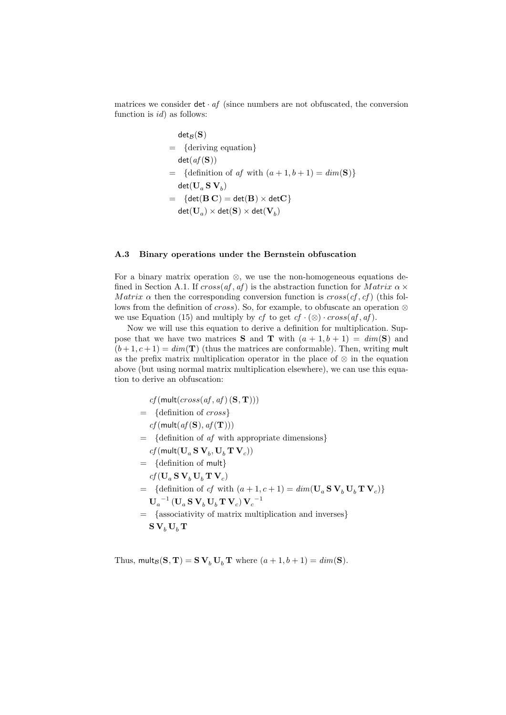matrices we consider  $\det \cdot af$  (since numbers are not obfuscated, the conversion function is  $id$  as follows:

$$
detB(S)
$$
  
= {deriving equation}  

$$
det(af(S))
$$
  
= {definition of af with  $(a + 1, b + 1) = dim(S)$ }  

$$
det(\mathbf{U}_a S \mathbf{V}_b)
$$
  
= {det(B C) = det(B) × det C}  

$$
det(\mathbf{U}_a) × det(S) × det(\mathbf{V}_b)
$$

### A.3 Binary operations under the Bernstein obfuscation

For a binary matrix operation ⊗, we use the non-homogeneous equations defined in Section A.1. If  $cross(af, af)$  is the abstraction function for *Matrix*  $\alpha \times$ Matrix  $\alpha$  then the corresponding conversion function is  $cross(cf, cf)$  (this follows from the definition of cross). So, for example, to obfuscate an operation  $\otimes$ we use Equation (15) and multiply by cf to get  $cf \cdot (\otimes) \cdot cross(af, af)$ .

Now we will use this equation to derive a definition for multiplication. Suppose that we have two matrices **S** and **T** with  $(a + 1, b + 1) = dim(S)$  and  $(b+1, c+1) = dim(\mathbf{T})$  (thus the matrices are conformable). Then, writing mult as the prefix matrix multiplication operator in the place of ⊗ in the equation above (but using normal matrix multiplication elsewhere), we can use this equation to derive an obfuscation:

 $cf$ (mult(cross(af, af)(S, T)))  $=$  {definition of *cross*}  $cf$ (mult( $af(S), af(T))$ )  $= \{definition of af with appropriate dimensions\}$  $cf$ (mult( $\mathbf{U}_a \mathbf{S} \mathbf{V}_b$ ,  $\mathbf{U}_b \mathbf{T} \mathbf{V}_c$ ))  $=$  {definition of mult}  $cf(\mathbf{U}_a \mathbf{S} \mathbf{V}_b \mathbf{U}_b \mathbf{T} \mathbf{V}_c)$ = {definition of cf with  $(a+1, c+1) = dim(\mathbf{U}_a \mathbf{S} \mathbf{V}_b \mathbf{U}_b \mathbf{T} \mathbf{V}_c)$ }  $\mathbf{U}_a^{-1}\left(\mathbf{U}_a\,\mathbf{S}\,\mathbf{V}_b\,\mathbf{U}_b\,\mathbf{T}\,\mathbf{V}_c\right)\mathbf{V}_c^{-1}$ = {associativity of matrix multiplication and inverses}  $S V_b U_b T$ 

Thus,  $\text{mult}_{\mathcal{B}}(\mathbf{S}, \mathbf{T}) = \mathbf{S} \mathbf{V}_b \mathbf{U}_b \mathbf{T}$  where  $(a+1, b+1) = dim(\mathbf{S})$ .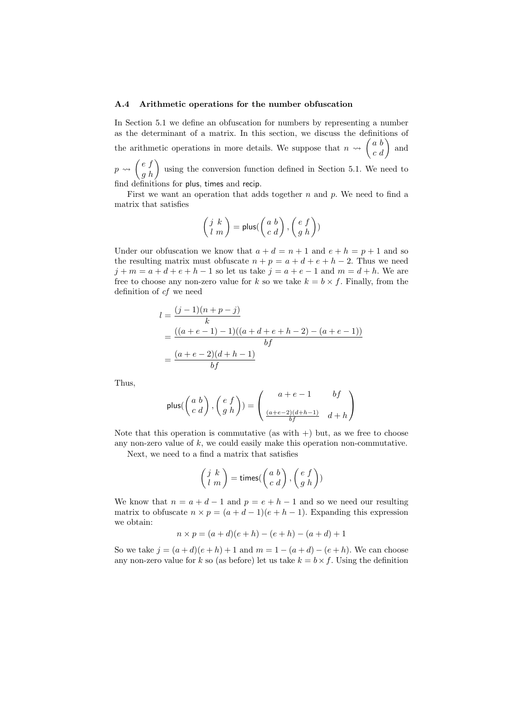#### A.4 Arithmetic operations for the number obfuscation

In Section 5.1 we define an obfuscation for numbers by representing a number as the determinant of a matrix. In this section, we discuss the definitions of the arithmetic operations in more details. We suppose that  $n \leadsto \begin{pmatrix} a & b \\ c & d \end{pmatrix}$  and

 $p \rightsquigarrow \begin{pmatrix} e & f \\ g & h \end{pmatrix}$  using the conversion function defined in Section 5.1. We need to find definitions for plus, times and recip.

First we want an operation that adds together  $n$  and  $p$ . We need to find a matrix that satisfies

$$
\begin{pmatrix} j & k \\ l & m \end{pmatrix} = \text{plus}(\begin{pmatrix} a & b \\ c & d \end{pmatrix}, \begin{pmatrix} e & f \\ g & h \end{pmatrix})
$$

Under our obfuscation we know that  $a + d = n + 1$  and  $e + h = p + 1$  and so the resulting matrix must obfuscate  $n + p = a + d + e + h - 2$ . Thus we need  $j + m = a + d + e + h - 1$  so let us take  $j = a + e - 1$  and  $m = d + h$ . We are free to choose any non-zero value for k so we take  $k = b \times f$ . Finally, from the definition of cf we need

$$
l = \frac{(j-1)(n+p-j)}{k}
$$
  
= 
$$
\frac{((a+e-1)-1)((a+d+e+h-2)-(a+e-1))}{bf}
$$
  
= 
$$
\frac{(a+e-2)(d+h-1)}{bf}
$$

Thus,

$$
\text{plus}(\begin{pmatrix} a & b \\ c & d \end{pmatrix}, \begin{pmatrix} e & f \\ g & h \end{pmatrix}) = \begin{pmatrix} a + e - 1 & bf \\ \frac{(a + e - 2)(d + h - 1)}{bf} & d + h \end{pmatrix}
$$

Note that this operation is commutative (as with  $+)$  but, as we free to choose any non-zero value of  $k$ , we could easily make this operation non-commutative.

Next, we need to a find a matrix that satisfies

$$
\begin{pmatrix} j & k \\ l & m \end{pmatrix} = \text{times}(\begin{pmatrix} a & b \\ c & d \end{pmatrix}, \begin{pmatrix} e & f \\ g & h \end{pmatrix})
$$

We know that  $n = a + d - 1$  and  $p = e + h - 1$  and so we need our resulting matrix to obfuscate  $n \times p = (a + d - 1)(e + h - 1)$ . Expanding this expression we obtain:

$$
n \times p = (a+d)(e+h) - (e+h) - (a+d) + 1
$$

So we take  $j = (a + d)(e + h) + 1$  and  $m = 1 - (a + d) - (e + h)$ . We can choose any non-zero value for k so (as before) let us take  $k = b \times f$ . Using the definition